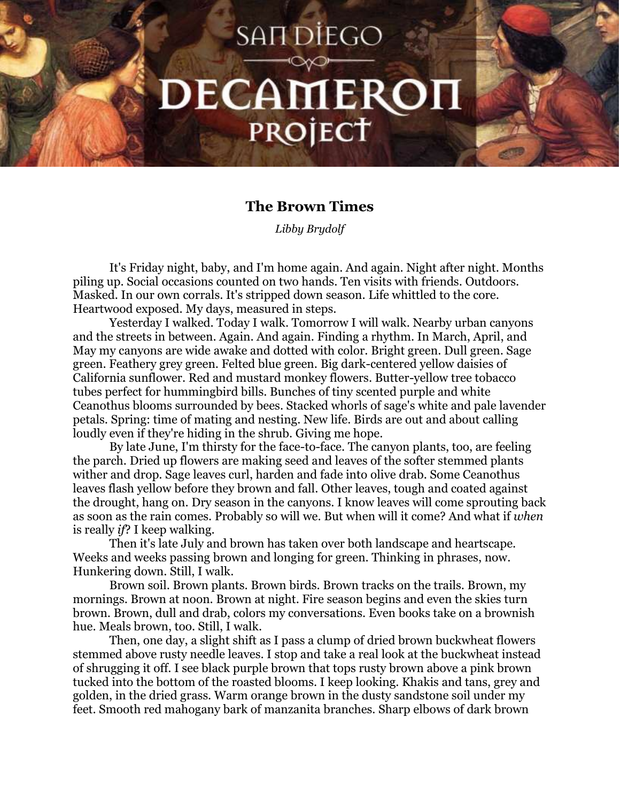## **SANDIEGO** DECAMERON PROJECT

## **The Brown Times**

*Libby Brydolf*

It's Friday night, baby, and I'm home again. And again. Night after night. Months piling up. Social occasions counted on two hands. Ten visits with friends. Outdoors. Masked. In our own corrals. It's stripped down season. Life whittled to the core. Heartwood exposed. My days, measured in steps.

Yesterday I walked. Today I walk. Tomorrow I will walk. Nearby urban canyons and the streets in between. Again. And again. Finding a rhythm. In March, April, and May my canyons are wide awake and dotted with color. Bright green. Dull green. Sage green. Feathery grey green. Felted blue green. Big dark-centered yellow daisies of California sunflower. Red and mustard monkey flowers. Butter-yellow tree tobacco tubes perfect for hummingbird bills. Bunches of tiny scented purple and white Ceanothus blooms surrounded by bees. Stacked whorls of sage's white and pale lavender petals. Spring: time of mating and nesting. New life. Birds are out and about calling loudly even if they're hiding in the shrub. Giving me hope.

By late June, I'm thirsty for the face-to-face. The canyon plants, too, are feeling the parch. Dried up flowers are making seed and leaves of the softer stemmed plants wither and drop. Sage leaves curl, harden and fade into olive drab. Some Ceanothus leaves flash yellow before they brown and fall. Other leaves, tough and coated against the drought, hang on. Dry season in the canyons. I know leaves will come sprouting back as soon as the rain comes. Probably so will we. But when will it come? And what if *when* is really *if*? I keep walking.

Then it's late July and brown has taken over both landscape and heartscape. Weeks and weeks passing brown and longing for green. Thinking in phrases, now. Hunkering down. Still, I walk.

Brown soil. Brown plants. Brown birds. Brown tracks on the trails. Brown, my mornings. Brown at noon. Brown at night. Fire season begins and even the skies turn brown. Brown, dull and drab, colors my conversations. Even books take on a brownish hue. Meals brown, too. Still, I walk.

Then, one day, a slight shift as I pass a clump of dried brown buckwheat flowers stemmed above rusty needle leaves. I stop and take a real look at the buckwheat instead of shrugging it off. I see black purple brown that tops rusty brown above a pink brown tucked into the bottom of the roasted blooms. I keep looking. Khakis and tans, grey and golden, in the dried grass. Warm orange brown in the dusty sandstone soil under my feet. Smooth red mahogany bark of manzanita branches. Sharp elbows of dark brown